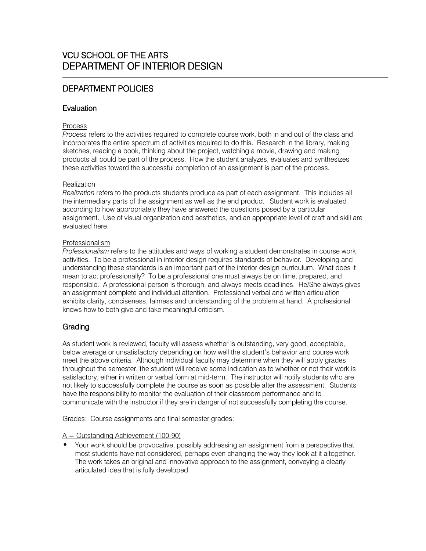# 1 DEPARTMENT POLICIES

# **Evaluation**

### Process

*Process* refers to the activities required to complete course work, both in and out of the class and incorporates the entire spectrum of activities required to do this. Research in the library, making sketches, reading a book, thinking about the project, watching a movie, drawing and making products all could be part of the process. How the student analyzes, evaluates and synthesizes these activities toward the successful completion of an assignment is part of the process.

## **Realization**

*Realization* refers to the products students produce as part of each assignment. This includes all the intermediary parts of the assignment as well as the end product. Student work is evaluated according to how appropriately they have answered the questions posed by a particular assignment. Use of visual organization and aesthetics, and an appropriate level of craft and skill are evaluated here.

## Professionalism

*Professionalism* refers to the attitudes and ways of working a student demonstrates in course work activities. To be a professional in interior design requires standards of behavior. Developing and understanding these standards is an important part of the interior design curriculum. What does it mean to act professionally? To be a professional one must always be on time, prepared, and responsible. A professional person is thorough, and always meets deadlines. He/She always gives an assignment complete and individual attention. Professional verbal and written articulation exhibits clarity, conciseness, fairness and understanding of the problem at hand. A professional knows how to both give and take meaningful criticism.

# Grading

As student work is reviewed, faculty will assess whether is outstanding, very good, acceptable, below average or unsatisfactory depending on how well the student's behavior and course work meet the above criteria. Although individual faculty may determine when they will apply grades throughout the semester, the student will receive some indication as to whether or not their work is satisfactory, either in written or verbal form at mid-term. The instructor will notify students who are not likely to successfully complete the course as soon as possible after the assessment. Students have the responsibility to monitor the evaluation of their classroom performance and to communicate with the instructor if they are in danger of not successfully completing the course.

Grades: Course assignments and final semester grades:

#### $A =$  Outstanding Achievement (100-90)

• Your work should be provocative, possibly addressing an assignment from a perspective that most students have not considered, perhaps even changing the way they look at it altogether. The work takes an original and innovative approach to the assignment, conveying a clearly articulated idea that is fully developed.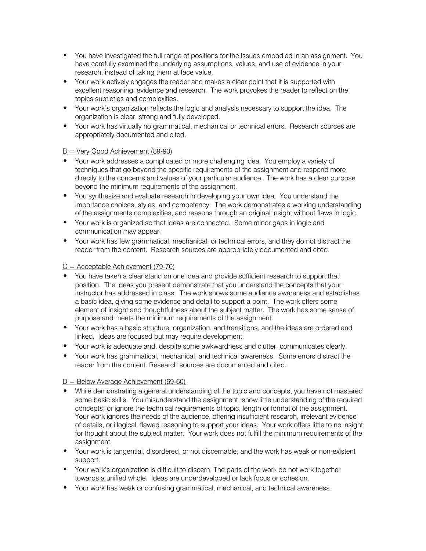- You have investigated the full range of positions for the issues embodied in an assignment. You have carefully examined the underlying assumptions, values, and use of evidence in your research, instead of taking them at face value.
- Your work actively engages the reader and makes a clear point that it is supported with excellent reasoning, evidence and research. The work provokes the reader to reflect on the topics subtleties and complexities.
- Your work's organization reflects the logic and analysis necessary to support the idea. The organization is clear, strong and fully developed.
- Your work has virtually no grammatical, mechanical or technical errors. Research sources are appropriately documented and cited.

#### $B = V$ ery Good Achievement (89-90)

- Your work addresses a complicated or more challenging idea. You employ a variety of techniques that go beyond the specific requirements of the assignment and respond more directly to the concerns and values of your particular audience. The work has a clear purpose beyond the minimum requirements of the assignment.
- You synthesize and evaluate research in developing your own idea. You understand the importance choices, styles, and competency. The work demonstrates a working understanding of the assignments complexities, and reasons through an original insight without flaws in logic.
- Your work is organized so that ideas are connected. Some minor gaps in logic and communication may appear.
- Your work has few grammatical, mechanical, or technical errors, and they do not distract the reader from the content. Research sources are appropriately documented and cited.

#### $C =$  Acceptable Achievement (79-70)

- You have taken a clear stand on one idea and provide sufficient research to support that position. The ideas you present demonstrate that you understand the concepts that your instructor has addressed in class. The work shows some audience awareness and establishes a basic idea, giving some evidence and detail to support a point. The work offers some element of insight and thoughtfulness about the subject matter. The work has some sense of purpose and meets the minimum requirements of the assignment.
- Your work has a basic structure, organization, and transitions, and the ideas are ordered and linked. Ideas are focused but may require development.
- Your work is adequate and, despite some awkwardness and clutter, communicates clearly.
- Your work has grammatical, mechanical, and technical awareness. Some errors distract the reader from the content. Research sources are documented and cited.

#### $D =$  Below Average Achievement (69-60)

- While demonstrating a general understanding of the topic and concepts, you have not mastered some basic skills. You misunderstand the assignment; show little understanding of the required concepts; or ignore the technical requirements of topic, length or format of the assignment. Your work ignores the needs of the audience, offering insufficient research, irrelevant evidence of details, or illogical, flawed reasoning to support your ideas. Your work offers little to no insight for thought about the subject matter. Your work does not fulfill the minimum requirements of the assignment.
- Your work is tangential, disordered, or not discernable, and the work has weak or non-existent support.
- Your work's organization is difficult to discern. The parts of the work do not work together towards a unified whole. Ideas are underdeveloped or lack focus or cohesion.
- Your work has weak or confusing grammatical, mechanical, and technical awareness.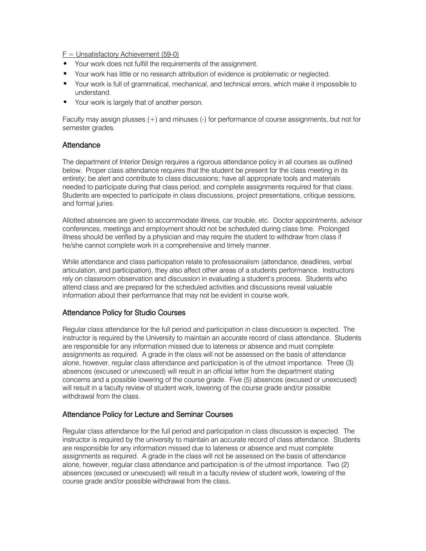$F =$  Unsatisfactory Achievement (59-0)

- Your work does not fulfill the requirements of the assignment.
- Your work has little or no research attribution of evidence is problematic or neglected.
- Your work is full of grammatical, mechanical, and technical errors, which make it impossible to understand.
- Your work is largely that of another person.

Faculty may assign plusses (+) and minuses (-) for performance of course assignments, but not for semester grades.

## **Attendance**

The department of Interior Design requires a rigorous attendance policy in all courses as outlined below. Proper class attendance requires that the student be present for the class meeting in its entirety; be alert and contribute to class discussions; have all appropriate tools and materials needed to participate during that class period; and complete assignments required for that class. Students are expected to participate in class discussions, project presentations, critique sessions, and formal juries.

Allotted absences are given to accommodate illness, car trouble, etc. Doctor appointments, advisor conferences, meetings and employment should not be scheduled during class time. Prolonged illness should be verified by a physician and may require the student to withdraw from class if he/she cannot complete work in a comprehensive and timely manner.

While attendance and class participation relate to professionalism (attendance, deadlines, verbal articulation, and participation), they also affect other areas of a students performance. Instructors rely on classroom observation and discussion in evaluating a student's process. Students who attend class and are prepared for the scheduled activities and discussions reveal valuable information about their performance that may not be evident in course work.

## Attendance Policy for Studio Courses

Regular class attendance for the full period and participation in class discussion is expected. The instructor is required by the University to maintain an accurate record of class attendance. Students are responsible for any information missed due to lateness or absence and must complete assignments as required. A grade in the class will not be assessed on the basis of attendance alone, however, regular class attendance and participation is of the utmost importance. Three (3) absences (excused or unexcused) will result in an official letter from the department stating concerns and a possible lowering of the course grade. Five (5) absences (excused or unexcused) will result in a faculty review of student work, lowering of the course grade and/or possible withdrawal from the class.

## Attendance Policy for Lecture and Seminar Courses

Regular class attendance for the full period and participation in class discussion is expected. The instructor is required by the university to maintain an accurate record of class attendance. Students are responsible for any information missed due to lateness or absence and must complete assignments as required. A grade in the class will not be assessed on the basis of attendance alone, however, regular class attendance and participation is of the utmost importance. Two (2) absences (excused or unexcused) will result in a faculty review of student work, lowering of the course grade and/or possible withdrawal from the class.